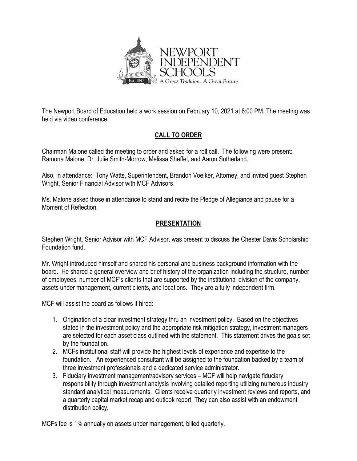

The Newport Board of Education held a work session on February 10, 2021 at 6:00 PM. The meeting was held via video conference.

# **CALL TO ORDER**

Chairman Malone called the meeting to order and asked for a roll call. The following were present: Ramona Malone, Dr. Julie Smith-Morrow, Melissa Sheffel, and Aaron Sutherland.

Also, in attendance: Tony Watts, Superintendent, Brandon Voelker, Attorney, and invited guest Stephen Wright, Senior Financial Advisor with MCF Advisors.

Ms. Malone asked those in attendance to stand and recite the Pledge of Allegiance and pause for a Moment of Reflection.

# **PRESENTATION**

Stephen Wright, Senior Advisor with MCF Advisor, was present to discuss the Chester Davis Scholarship Foundation fund.

Mr. Wright introduced himself and shared his personal and business background information with the board. He shared a general overview and brief history of the organization including the structure, number of employees, number of MCF's clients that are supported by the institutional division of the company, assets under management, current clients, and locations. They are a fully independent firm.

MCF will assist the board as follows if hired:

- 1. Origination of a clear investment strategy thru an investment policy. Based on the objectives stated in the investment policy and the appropriate risk mitigation strategy, investment managers are selected for each asset class outlined with the statement. This statement drives the goals set by the foundation.
- 2. MCFs institutional staff will provide the highest levels of experience and expertise to the foundation. An experienced consultant will be assigned to the foundation backed by a team of three investment professionals and a dedicated service administrator.
- 3. Fiduciary investment management/advisory services MCF will help navigate fiduciary responsibility through investment analysis involving detailed reporting utilizing numerous industry standard analytical measurements. Clients receive quarterly investment reviews and reports, and a quarterly capital market recap and outlook report. They can also assist with an endowment distribution policy,

MCFs fee is 1% annually on assets under management, billed quarterly.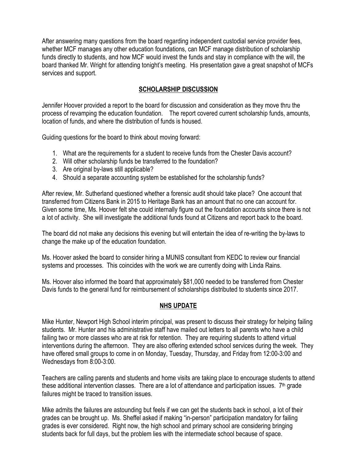After answering many questions from the board regarding independent custodial service provider fees, whether MCF manages any other education foundations, can MCF manage distribution of scholarship funds directly to students, and how MCF would invest the funds and stay in compliance with the will, the board thanked Mr. Wright for attending tonight's meeting. His presentation gave a great snapshot of MCFs services and support.

### **SCHOLARSHIP DISCUSSION**

Jennifer Hoover provided a report to the board for discussion and consideration as they move thru the process of revamping the education foundation. The report covered current scholarship funds, amounts, location of funds, and where the distribution of funds is housed.

Guiding questions for the board to think about moving forward:

- 1. What are the requirements for a student to receive funds from the Chester Davis account?
- 2. Will other scholarship funds be transferred to the foundation?
- 3. Are original by-laws still applicable?
- 4. Should a separate accounting system be established for the scholarship funds?

After review, Mr. Sutherland questioned whether a forensic audit should take place? One account that transferred from Citizens Bank in 2015 to Heritage Bank has an amount that no one can account for. Given some time, Ms. Hoover felt she could internally figure out the foundation accounts since there is not a lot of activity. She will investigate the additional funds found at Citizens and report back to the board.

The board did not make any decisions this evening but will entertain the idea of re-writing the by-laws to change the make up of the education foundation.

Ms. Hoover asked the board to consider hiring a MUNIS consultant from KEDC to review our financial systems and processes. This coincides with the work we are currently doing with Linda Rains.

Ms. Hoover also informed the board that approximately \$81,000 needed to be transferred from Chester Davis funds to the general fund for reimbursement of scholarships distributed to students since 2017.

#### **NHS UPDATE**

Mike Hunter, Newport High School interim principal, was present to discuss their strategy for helping failing students. Mr. Hunter and his administrative staff have mailed out letters to all parents who have a child failing two or more classes who are at risk for retention. They are requiring students to attend virtual interventions during the afternoon. They are also offering extended school services during the week. They have offered small groups to come in on Monday, Tuesday, Thursday, and Friday from 12:00-3:00 and Wednesdays from 8:00-3:00.

Teachers are calling parents and students and home visits are taking place to encourage students to attend these additional intervention classes. There are a lot of attendance and participation issues.  $7<sup>th</sup>$  grade failures might be traced to transition issues.

Mike admits the failures are astounding but feels if we can get the students back in school, a lot of their grades can be brought up. Ms. Sheffel asked if making "in-person" participation mandatory for failing grades is ever considered. Right now, the high school and primary school are considering bringing students back for full days, but the problem lies with the intermediate school because of space.